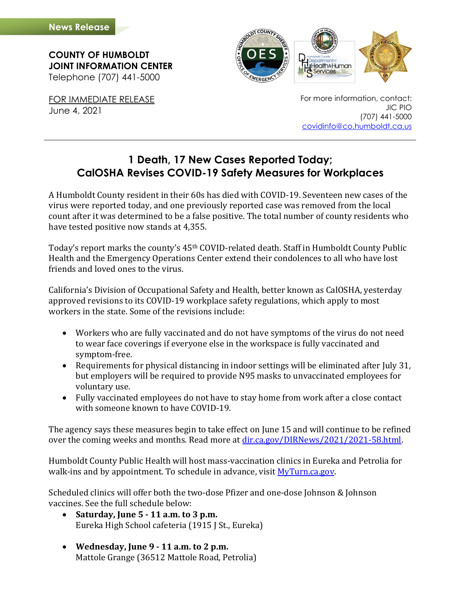**COUNTY OF HUMBOLDT JOINT INFORMATION CENTER** Telephone (707) 441-5000

FOR IMMEDIATE RELEASE June 4, 2021

For more information, contact: JIC PIO (707) 441-5000 [covidinfo@co.humboldt.ca.us](mailto:covidinfo@co.humboldt.ca.us)

## **1 Death, 17 New Cases Reported Today; CalOSHA Revises COVID-19 Safety Measures for Workplaces**

A Humboldt County resident in their 60s has died with COVID-19. Seventeen new cases of the virus were reported today, and one previously reported case was removed from the local count after it was determined to be a false positive. The total number of county residents who have tested positive now stands at 4,355.

Today's report marks the county's 45<sup>th</sup> COVID-related death. Staff in Humboldt County Public Health and the Emergency Operations Center extend their condolences to all who have lost friends and loved ones to the virus.

California's Division of Occupational Safety and Health, better known as CalOSHA, yesterday approved revisions to its COVID-19 workplace safety regulations, which apply to most workers in the state. Some of the revisions include:

- Workers who are fully vaccinated and do not have symptoms of the virus do not need to wear face coverings if everyone else in the workspace is fully vaccinated and symptom-free.
- Requirements for physical distancing in indoor settings will be eliminated after July 31, but employers will be required to provide N95 masks to unvaccinated employees for voluntary use.
- Fully vaccinated employees do not have to stay home from work after a close contact with someone known to have COVID-19.

The agency says these measures begin to take effect on June 15 and will continue to be refined over the coming weeks and months. Read more at [dir.ca.gov/DIRNews/2021/2021-58.html.](https://www.dir.ca.gov/DIRNews/2021/2021-58.html) 

Humboldt County Public Health will host mass-vaccination clinics in Eureka and Petrolia for walk-ins and by appointment. To schedule in advance, visi[t MyTurn.ca.gov.](https://myturn.ca.gov/)

Scheduled clinics will offer both the two-dose Pfizer and one-dose Johnson & Johnson vaccines. See the full schedule below:

- **Saturday, June 5 - 11 a.m. to 3 p.m.** Eureka High School cafeteria (1915 J St., Eureka)
- **Wednesday, June 9 - 11 a.m. to 2 p.m.** Mattole Grange (36512 Mattole Road, Petrolia)